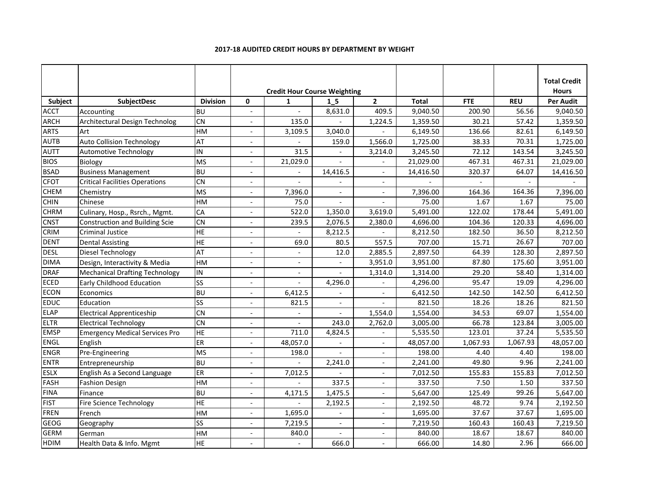|             |                                       |                 |                          | <b>Credit Hour Course Weighting</b> |                |                          |              |            |            | <b>Total Credit</b><br><b>Hours</b> |
|-------------|---------------------------------------|-----------------|--------------------------|-------------------------------------|----------------|--------------------------|--------------|------------|------------|-------------------------------------|
| Subject     | SubjectDesc                           | <b>Division</b> | 0                        | $\mathbf{1}$                        | 1 <sub>5</sub> | $\overline{2}$           | <b>Total</b> | <b>FTE</b> | <b>REU</b> | <b>Per Audit</b>                    |
| <b>ACCT</b> | Accounting                            | <b>BU</b>       | $\overline{a}$           | $\overline{a}$                      | 8,631.0        | 409.5                    | 9,040.50     | 200.90     | 56.56      | 9,040.50                            |
| <b>ARCH</b> | <b>Architectural Design Technolog</b> | <b>CN</b>       | $\overline{a}$           | 135.0                               |                | 1,224.5                  | 1,359.50     | 30.21      | 57.42      | 1,359.50                            |
| <b>ARTS</b> | Art                                   | HM              | $\overline{\phantom{a}}$ | 3,109.5                             | 3,040.0        |                          | 6,149.50     | 136.66     | 82.61      | 6,149.50                            |
| <b>AUTB</b> | <b>Auto Collision Technology</b>      | AT              |                          |                                     | 159.0          | 1,566.0                  | 1,725.00     | 38.33      | 70.31      | 1,725.00                            |
| <b>AUTT</b> | Automotive Technology                 | IN              |                          | 31.5                                |                | 3,214.0                  | 3,245.50     | 72.12      | 143.54     | 3,245.50                            |
| <b>BIOS</b> | Biology                               | <b>MS</b>       |                          | 21,029.0                            |                |                          | 21,029.00    | 467.31     | 467.31     | 21,029.00                           |
| <b>BSAD</b> | <b>Business Management</b>            | <b>BU</b>       |                          |                                     | 14,416.5       |                          | 14,416.50    | 320.37     | 64.07      | 14,416.50                           |
| <b>CFOT</b> | <b>Critical Facilities Operations</b> | <b>CN</b>       |                          |                                     |                |                          |              |            |            |                                     |
| <b>CHEM</b> | Chemistry                             | <b>MS</b>       |                          | 7,396.0                             |                |                          | 7,396.00     | 164.36     | 164.36     | 7,396.00                            |
| <b>CHIN</b> | Chinese                               | HM              | $\overline{\phantom{a}}$ | 75.0                                |                |                          | 75.00        | 1.67       | 1.67       | 75.00                               |
| <b>CHRM</b> | Culinary, Hosp., Rsrch., Mgmt.        | CA              | $\overline{a}$           | 522.0                               | 1,350.0        | 3,619.0                  | 5,491.00     | 122.02     | 178.44     | 5,491.00                            |
| <b>CNST</b> | <b>Construction and Building Scie</b> | <b>CN</b>       | $\overline{a}$           | 239.5                               | 2,076.5        | 2,380.0                  | 4,696.00     | 104.36     | 120.33     | 4,696.00                            |
| CRIM        | Criminal Justice                      | HE              |                          |                                     | 8,212.5        |                          | 8,212.50     | 182.50     | 36.50      | 8,212.50                            |
| <b>DENT</b> | <b>Dental Assisting</b>               | $\overline{H}$  | $\overline{\phantom{a}}$ | 69.0                                | 80.5           | 557.5                    | 707.00       | 15.71      | 26.67      | 707.00                              |
| <b>DESL</b> | Diesel Technology                     | AT              |                          |                                     | 12.0           | 2,885.5                  | 2,897.50     | 64.39      | 128.30     | 2,897.50                            |
| <b>DIMA</b> | Design, Interactivity & Media         | HM              |                          | $\overline{a}$                      |                | 3,951.0                  | 3,951.00     | 87.80      | 175.60     | 3,951.00                            |
| <b>DRAF</b> | <b>Mechanical Drafting Technology</b> | IN              | $\overline{a}$           | $\overline{a}$                      | $\mathbf{r}$   | 1,314.0                  | 1,314.00     | 29.20      | 58.40      | 1,314.00                            |
| ECED        | <b>Early Childhood Education</b>      | <b>SS</b>       |                          | $\overline{a}$                      | 4,296.0        |                          | 4,296.00     | 95.47      | 19.09      | 4,296.00                            |
| <b>ECON</b> | Economics                             | <b>BU</b>       |                          | 6,412.5                             |                |                          | 6,412.50     | 142.50     | 142.50     | 6,412.50                            |
| EDUC        | Education                             | SS              |                          | 821.5                               | $\overline{a}$ |                          | 821.50       | 18.26      | 18.26      | 821.50                              |
| <b>ELAP</b> | <b>Electrical Apprenticeship</b>      | <b>CN</b>       |                          |                                     |                | 1,554.0                  | 1,554.00     | 34.53      | 69.07      | 1,554.00                            |
| <b>ELTR</b> | <b>Electrical Technology</b>          | <b>CN</b>       | $\overline{a}$           |                                     | 243.0          | 2,762.0                  | 3,005.00     | 66.78      | 123.84     | 3,005.00                            |
| <b>EMSP</b> | <b>Emergency Medical Services Pro</b> | HE              | $\blacksquare$           | 711.0                               | 4,824.5        |                          | 5,535.50     | 123.01     | 37.24      | 5,535.50                            |
| ENGL        | English                               | ER              |                          | 48,057.0                            |                |                          | 48,057.00    | 1,067.93   | 1,067.93   | 48,057.00                           |
| <b>ENGR</b> | Pre-Engineering                       | <b>MS</b>       | $\overline{\phantom{a}}$ | 198.0                               |                |                          | 198.00       | 4.40       | 4.40       | 198.00                              |
| <b>ENTR</b> | Entrepreneurship                      | <b>BU</b>       | $\overline{a}$           |                                     | 2,241.0        |                          | 2,241.00     | 49.80      | 9.96       | 2,241.00                            |
| <b>ESLX</b> | English As a Second Language          | ER              | $\overline{a}$           | 7,012.5                             |                |                          | 7,012.50     | 155.83     | 155.83     | 7,012.50                            |
| FASH        | <b>Fashion Design</b>                 | HM              |                          |                                     | 337.5          |                          | 337.50       | 7.50       | 1.50       | 337.50                              |
| <b>FINA</b> | Finance                               | $\overline{BC}$ | $\overline{a}$           | 4,171.5                             | 1,475.5        |                          | 5,647.00     | 125.49     | 99.26      | 5,647.00                            |
| <b>FIST</b> | Fire Science Technology               | HE              | ۳                        |                                     | 2,192.5        |                          | 2,192.50     | 48.72      | 9.74       | 2,192.50                            |
| <b>FREN</b> | French                                | HM              |                          | 1,695.0                             |                |                          | 1,695.00     | 37.67      | 37.67      | 1,695.00                            |
| GEOG        | Geography                             | SS              | $\overline{a}$           | 7,219.5                             |                | $\overline{\phantom{a}}$ | 7,219.50     | 160.43     | 160.43     | 7,219.50                            |
| <b>GERM</b> | German                                | HM              |                          | 840.0                               |                | $\blacksquare$           | 840.00       | 18.67      | 18.67      | 840.00                              |
| <b>HDIM</b> | Health Data & Info. Mgmt              | <b>HE</b>       |                          |                                     | 666.0          |                          | 666.00       | 14.80      | 2.96       | 666.00                              |

#### **2017-18 AUDITED CREDIT HOURS BY DEPARTMENT BY WEIGHT**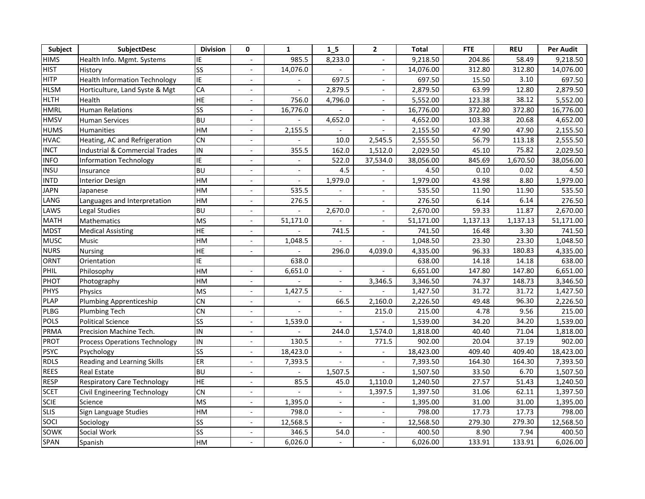| Subject     | SubjectDesc                               | <b>Division</b>        | 0                        | $\mathbf{1}$             | 1 <sub>5</sub>           | $\overline{2}$           | <b>Total</b> | <b>FTE</b> | <b>REU</b> | <b>Per Audit</b> |
|-------------|-------------------------------------------|------------------------|--------------------------|--------------------------|--------------------------|--------------------------|--------------|------------|------------|------------------|
| <b>HIMS</b> | Health Info. Mgmt. Systems                | IE                     |                          | 985.5                    | 8,233.0                  |                          | 9,218.50     | 204.86     | 58.49      | 9,218.50         |
| <b>HIST</b> | History                                   | <b>SS</b>              |                          | 14,076.0                 |                          | $\blacksquare$           | 14,076.00    | 312.80     | 312.80     | 14,076.00        |
| <b>HITP</b> | <b>Health Information Technology</b>      | <b>IE</b>              | $\blacksquare$           |                          | 697.5                    | $\sim$                   | 697.50       | 15.50      | 3.10       | 697.50           |
| <b>HLSM</b> | Horticulture, Land Syste & Mgt            | CA                     | $\overline{a}$           |                          | 2,879.5                  | $\overline{\phantom{a}}$ | 2,879.50     | 63.99      | 12.80      | 2,879.50         |
| <b>HLTH</b> | Health                                    | HE                     | $\overline{\phantom{a}}$ | 756.0                    | 4,796.0                  | $\overline{\phantom{a}}$ | 5,552.00     | 123.38     | 38.12      | 5,552.00         |
| <b>HMRL</b> | <b>Human Relations</b>                    | $\overline{\text{SS}}$ | $\overline{a}$           | 16,776.0                 |                          | $\blacksquare$           | 16,776.00    | 372.80     | 372.80     | 16,776.00        |
| <b>HMSV</b> | <b>Human Services</b>                     | <b>BU</b>              | $\overline{\phantom{a}}$ |                          | 4,652.0                  | $\sim$                   | 4,652.00     | 103.38     | 20.68      | 4,652.00         |
| <b>HUMS</b> | Humanities                                | HM                     | $\overline{\phantom{a}}$ | 2,155.5                  |                          |                          | 2,155.50     | 47.90      | 47.90      | 2,155.50         |
| <b>HVAC</b> | Heating, AC and Refrigeration             | <b>CN</b>              |                          |                          | 10.0                     | 2,545.5                  | 2,555.50     | 56.79      | 113.18     | 2,555.50         |
| <b>INCT</b> | <b>Industrial &amp; Commercial Trades</b> | IN                     |                          | 355.5                    | 162.0                    | 1,512.0                  | 2,029.50     | 45.10      | 75.82      | 2,029.50         |
| <b>INFO</b> | <b>Information Technology</b>             | IE                     | $\blacksquare$           | $\overline{\phantom{a}}$ | 522.0                    | 37,534.0                 | 38,056.00    | 845.69     | 1,670.50   | 38,056.00        |
| <b>INSU</b> | Insurance                                 | <b>BU</b>              | $\blacksquare$           | $\overline{\phantom{a}}$ | 4.5                      |                          | 4.50         | 0.10       | 0.02       | 4.50             |
| <b>INTD</b> | <b>Interior Design</b>                    | HM                     |                          |                          | 1,979.0                  |                          | 1,979.00     | 43.98      | 8.80       | 1,979.00         |
| <b>JAPN</b> | Japanese                                  | HM                     |                          | 535.5                    |                          |                          | 535.50       | 11.90      | 11.90      | 535.50           |
| LANG        | Languages and Interpretation              | HM                     | $\blacksquare$           | 276.5                    |                          | $\overline{\phantom{a}}$ | 276.50       | 6.14       | 6.14       | 276.50           |
| LAWS        | Legal Studies                             | <b>BU</b>              |                          |                          | 2,670.0                  |                          | 2,670.00     | 59.33      | 11.87      | 2,670.00         |
| <b>MATH</b> | Mathematics                               | <b>MS</b>              |                          | 51,171.0                 |                          | $\sim$                   | 51,171.00    | 1,137.13   | 1,137.13   | 51,171.00        |
| <b>MDST</b> | <b>Medical Assisting</b>                  | <b>HE</b>              |                          |                          | 741.5                    | $\sim$                   | 741.50       | 16.48      | 3.30       | 741.50           |
| <b>MUSC</b> | <b>Music</b>                              | HM                     | $\blacksquare$           | 1,048.5                  |                          |                          | 1,048.50     | 23.30      | 23.30      | 1,048.50         |
| <b>NURS</b> | Nursing                                   | HE                     | $\blacksquare$           |                          | 296.0                    | 4,039.0                  | 4,335.00     | 96.33      | 180.83     | 4,335.00         |
| <b>ORNT</b> | Orientation                               | ΙĖ                     |                          | 638.0                    |                          |                          | 638.00       | 14.18      | 14.18      | 638.00           |
| PHIL        | Philosophy                                | HM                     | $\blacksquare$           | 6,651.0                  | $\blacksquare$           |                          | 6,651.00     | 147.80     | 147.80     | 6,651.00         |
| PHOT        | Photography                               | HM                     | $\sim$                   |                          | $\overline{a}$           | 3,346.5                  | 3,346.50     | 74.37      | 148.73     | 3,346.50         |
| <b>PHYS</b> | Physics                                   | <b>MS</b>              |                          | 1,427.5                  |                          |                          | 1,427.50     | 31.72      | 31.72      | 1,427.50         |
| <b>PLAP</b> | <b>Plumbing Apprenticeship</b>            | <b>CN</b>              | $\overline{a}$           | $\mathbf{r}$             | 66.5                     | 2,160.0                  | 2,226.50     | 49.48      | 96.30      | 2,226.50         |
| <b>PLBG</b> | <b>Plumbing Tech</b>                      | <b>CN</b>              | $\overline{a}$           | $\overline{a}$           | $\overline{\phantom{a}}$ | 215.0                    | 215.00       | 4.78       | 9.56       | 215.00           |
| POLS        | <b>Political Science</b>                  | SS                     | $\overline{\phantom{a}}$ | 1,539.0                  | $\overline{\phantom{a}}$ |                          | 1,539.00     | 34.20      | 34.20      | 1,539.00         |
| <b>PRMA</b> | Precision Machine Tech.                   | IN                     | $\overline{a}$           |                          | 244.0                    | 1,574.0                  | 1,818.00     | 40.40      | 71.04      | 1,818.00         |
| <b>PROT</b> | <b>Process Operations Technology</b>      | IN                     |                          | 130.5                    | $\blacksquare$           | 771.5                    | 902.00       | 20.04      | 37.19      | 902.00           |
| <b>PSYC</b> | Psychology                                | SS                     |                          | 18,423.0                 | $\blacksquare$           |                          | 18,423.00    | 409.40     | 409.40     | 18,423.00        |
| <b>RDLS</b> | Reading and Learning Skills               | ER                     |                          | 7,393.5                  |                          |                          | 7,393.50     | 164.30     | 164.30     | 7,393.50         |
| <b>REES</b> | Real Estate                               | <b>BU</b>              |                          |                          | 1,507.5                  |                          | 1,507.50     | 33.50      | 6.70       | 1,507.50         |
| <b>RESP</b> | <b>Respiratory Care Technology</b>        | HE                     | $\sim$                   | 85.5                     | 45.0                     | 1,110.0                  | 1,240.50     | 27.57      | 51.43      | 1,240.50         |
| <b>SCET</b> | Civil Engineering Technology              | <b>CN</b>              | $\blacksquare$           |                          | $\blacksquare$           | 1,397.5                  | 1,397.50     | 31.06      | 62.11      | 1,397.50         |
| <b>SCIE</b> | Science                                   | <b>MS</b>              | $\blacksquare$           | 1,395.0                  | $\overline{\phantom{a}}$ | $\overline{\phantom{a}}$ | 1,395.00     | 31.00      | 31.00      | 1,395.00         |
| <b>SLIS</b> | Sign Language Studies                     | HM                     |                          | 798.0                    | $\overline{\phantom{a}}$ |                          | 798.00       | 17.73      | 17.73      | 798.00           |
| SOCI        | Sociology                                 | SS                     | $\overline{a}$           | 12,568.5                 | $\blacksquare$           | $\sim$                   | 12,568.50    | 279.30     | 279.30     | 12,568.50        |
| SOWK        | Social Work                               | $\overline{\text{SS}}$ |                          | 346.5                    | 54.0                     | $\blacksquare$           | 400.50       | 8.90       | 7.94       | 400.50           |
| SPAN        | Spanish                                   | HM                     |                          | 6,026.0                  |                          |                          | 6,026.00     | 133.91     | 133.91     | 6,026.00         |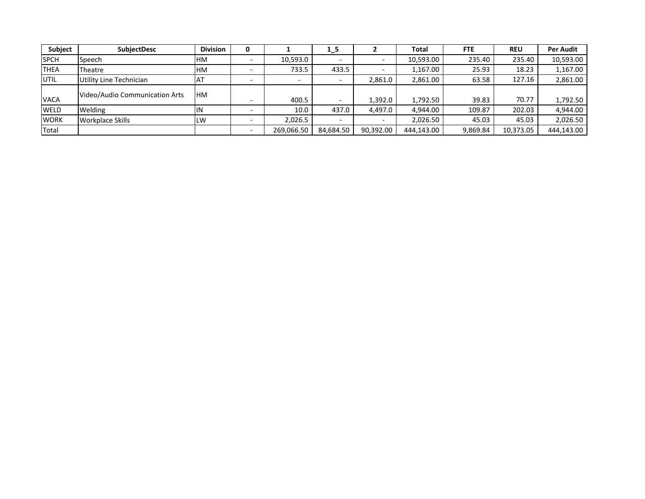| Subject      | <b>SubjectDesc</b>             | <b>Division</b> |            | $1_{-}5$  |           | <b>Total</b> | <b>FTE</b> | <b>REU</b> | <b>Per Audit</b> |
|--------------|--------------------------------|-----------------|------------|-----------|-----------|--------------|------------|------------|------------------|
| <b>SPCH</b>  | Speech                         | HМ              | 10,593.0   |           |           | 10,593.00    | 235.40     | 235.40     | 10,593.00        |
| <b>THEA</b>  | Theatre                        | <b>HM</b>       | 733.5      | 433.5     |           | 1.167.00     | 25.93      | 18.23      | 1,167.00         |
| UTIL         | Utility Line Technician        | ۱А.             | -          |           | 2,861.0   | 2,861.00     | 63.58      | 127.16     | 2,861.00         |
| <b>VACA</b>  | Video/Audio Communication Arts | <b>IHM</b>      | 400.5      |           | 1.392.0   | 1,792.50     | 39.83      | 70.77      | 1,792.50         |
| <b>WELD</b>  | Welding                        | ΙIΝ             | 10.0       | 437.0     | 4,497.0   | 4.944.00     | 109.87     | 202.03     | 4,944.00         |
| <b>WORK</b>  | <b>Workplace Skills</b>        | LW              | 2,026.5    |           |           | 2.026.50     | 45.03      | 45.03      | 2,026.50         |
| <b>Total</b> |                                |                 | 269,066.50 | 84,684.50 | 90,392.00 | 444,143.00   | 9,869.84   | 10,373.05  | 444,143.00       |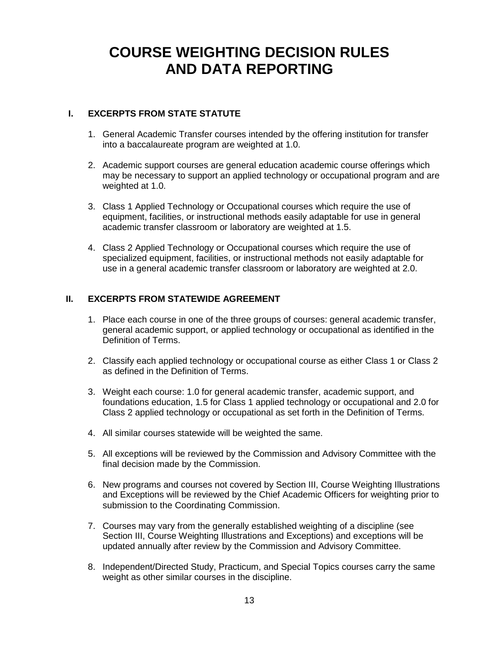## **COURSE WEIGHTING DECISION RULES AND DATA REPORTING**

#### **I. EXCERPTS FROM STATE STATUTE**

- 1. General Academic Transfer courses intended by the offering institution for transfer into a baccalaureate program are weighted at 1.0.
- 2. Academic support courses are general education academic course offerings which may be necessary to support an applied technology or occupational program and are weighted at 1.0.
- 3. Class 1 Applied Technology or Occupational courses which require the use of equipment, facilities, or instructional methods easily adaptable for use in general academic transfer classroom or laboratory are weighted at 1.5.
- 4. Class 2 Applied Technology or Occupational courses which require the use of specialized equipment, facilities, or instructional methods not easily adaptable for use in a general academic transfer classroom or laboratory are weighted at 2.0.

#### **II. EXCERPTS FROM STATEWIDE AGREEMENT**

- 1. Place each course in one of the three groups of courses: general academic transfer, general academic support, or applied technology or occupational as identified in the Definition of Terms.
- 2. Classify each applied technology or occupational course as either Class 1 or Class 2 as defined in the Definition of Terms.
- 3. Weight each course: 1.0 for general academic transfer, academic support, and foundations education, 1.5 for Class 1 applied technology or occupational and 2.0 for Class 2 applied technology or occupational as set forth in the Definition of Terms.
- 4. All similar courses statewide will be weighted the same.
- 5. All exceptions will be reviewed by the Commission and Advisory Committee with the final decision made by the Commission.
- 6. New programs and courses not covered by Section III, Course Weighting Illustrations and Exceptions will be reviewed by the Chief Academic Officers for weighting prior to submission to the Coordinating Commission.
- 7. Courses may vary from the generally established weighting of a discipline (see Section III, Course Weighting Illustrations and Exceptions) and exceptions will be updated annually after review by the Commission and Advisory Committee.
- 8. Independent/Directed Study, Practicum, and Special Topics courses carry the same weight as other similar courses in the discipline.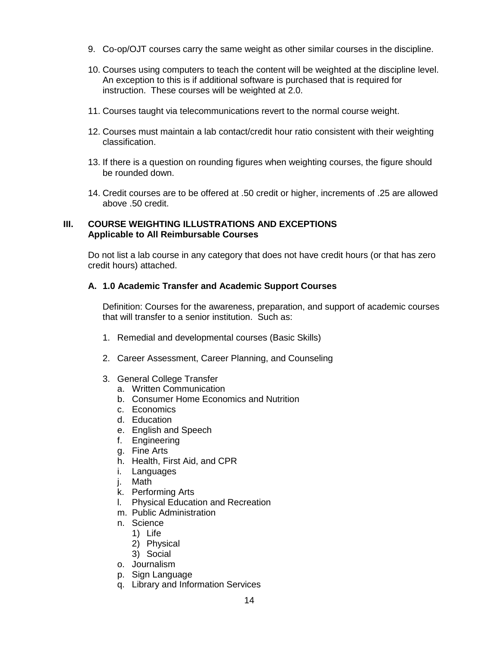- 9. Co-op/OJT courses carry the same weight as other similar courses in the discipline.
- 10. Courses using computers to teach the content will be weighted at the discipline level. An exception to this is if additional software is purchased that is required for instruction. These courses will be weighted at 2.0.
- 11. Courses taught via telecommunications revert to the normal course weight.
- 12. Courses must maintain a lab contact/credit hour ratio consistent with their weighting classification.
- 13. If there is a question on rounding figures when weighting courses, the figure should be rounded down.
- 14. Credit courses are to be offered at .50 credit or higher, increments of .25 are allowed above .50 credit.

#### **III. COURSE WEIGHTING ILLUSTRATIONS AND EXCEPTIONS Applicable to All Reimbursable Courses**

Do not list a lab course in any category that does not have credit hours (or that has zero credit hours) attached.

#### **A. 1.0 Academic Transfer and Academic Support Courses**

Definition: Courses for the awareness, preparation, and support of academic courses that will transfer to a senior institution. Such as:

- 1. Remedial and developmental courses (Basic Skills)
- 2. Career Assessment, Career Planning, and Counseling
- 3. General College Transfer
	- a. Written Communication
	- b. Consumer Home Economics and Nutrition
	- c. Economics
	- d. Education
	- e. English and Speech
	- f. Engineering
	- g. Fine Arts
	- h. Health, First Aid, and CPR
	- i. Languages
	- j. Math
	- k. Performing Arts
	- l. Physical Education and Recreation
	- m. Public Administration
	- n. Science
		- 1) Life
			- 2) Physical
			- 3) Social
	- o. Journalism
	- p. Sign Language
	- q. Library and Information Services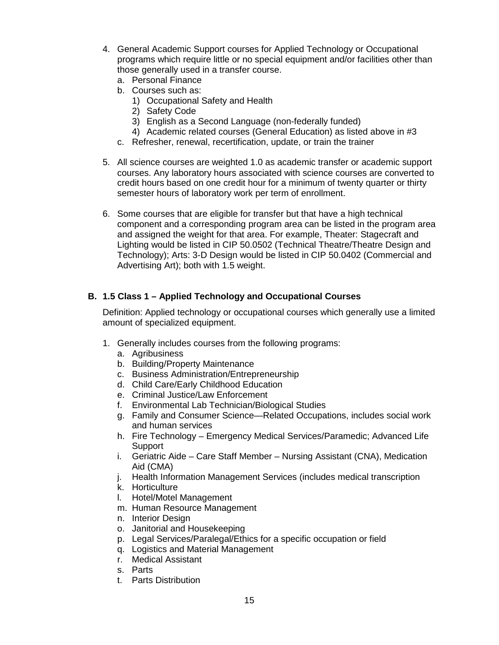- 4. General Academic Support courses for Applied Technology or Occupational programs which require little or no special equipment and/or facilities other than those generally used in a transfer course.
	- a. Personal Finance
	- b. Courses such as:
		- 1) Occupational Safety and Health
		- 2) Safety Code
		- 3) English as a Second Language (non-federally funded)
		- 4) Academic related courses (General Education) as listed above in #3
	- c. Refresher, renewal, recertification, update, or train the trainer
- 5. All science courses are weighted 1.0 as academic transfer or academic support courses. Any laboratory hours associated with science courses are converted to credit hours based on one credit hour for a minimum of twenty quarter or thirty semester hours of laboratory work per term of enrollment.
- 6. Some courses that are eligible for transfer but that have a high technical component and a corresponding program area can be listed in the program area and assigned the weight for that area. For example, Theater: Stagecraft and Lighting would be listed in CIP 50.0502 (Technical Theatre/Theatre Design and Technology); Arts: 3-D Design would be listed in CIP 50.0402 (Commercial and Advertising Art); both with 1.5 weight.

### **B. 1.5 Class 1 – Applied Technology and Occupational Courses**

Definition: Applied technology or occupational courses which generally use a limited amount of specialized equipment.

- 1. Generally includes courses from the following programs:
	- a. Agribusiness
	- b. Building/Property Maintenance
	- c. Business Administration/Entrepreneurship
	- d. Child Care/Early Childhood Education
	- e. Criminal Justice/Law Enforcement
	- f. Environmental Lab Technician/Biological Studies
	- g. Family and Consumer Science—Related Occupations, includes social work and human services
	- h. Fire Technology Emergency Medical Services/Paramedic; Advanced Life Support
	- i. Geriatric Aide Care Staff Member Nursing Assistant (CNA), Medication Aid (CMA)
	- j. Health Information Management Services (includes medical transcription
	- k. Horticulture
	- l. Hotel/Motel Management
	- m. Human Resource Management
	- n. Interior Design
	- o. Janitorial and Housekeeping
	- p. Legal Services/Paralegal/Ethics for a specific occupation or field
	- q. Logistics and Material Management
	- r. Medical Assistant
	- s. Parts
	- t. Parts Distribution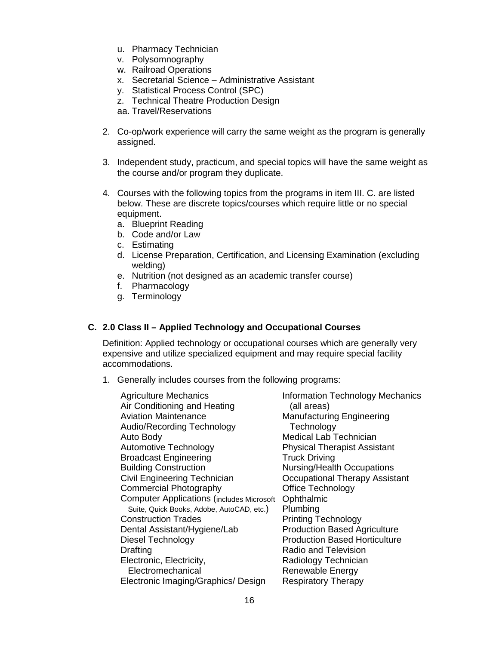- u. Pharmacy Technician
- v. Polysomnography
- w. Railroad Operations
- x. Secretarial Science Administrative Assistant
- y. Statistical Process Control (SPC)
- z. Technical Theatre Production Design

aa. Travel/Reservations

- 2. Co-op/work experience will carry the same weight as the program is generally assigned.
- 3. Independent study, practicum, and special topics will have the same weight as the course and/or program they duplicate.
- 4. Courses with the following topics from the programs in item III. C. are listed below. These are discrete topics/courses which require little or no special equipment.
	- a. Blueprint Reading
	- b. Code and/or Law
	- c. Estimating
	- d. License Preparation, Certification, and Licensing Examination (excluding welding)
	- e. Nutrition (not designed as an academic transfer course)
	- f. Pharmacology
	- g. Terminology

#### **C. 2.0 Class II – Applied Technology and Occupational Courses**

Definition: Applied technology or occupational courses which are generally very expensive and utilize specialized equipment and may require special facility accommodations.

1. Generally includes courses from the following programs:

| <b>Agriculture Mechanics</b><br>Air Conditioning and Heating | <b>Information Technology Mechanics</b><br>(all areas) |
|--------------------------------------------------------------|--------------------------------------------------------|
| <b>Aviation Maintenance</b>                                  | <b>Manufacturing Engineering</b>                       |
| Audio/Recording Technology                                   | Technology                                             |
| Auto Body                                                    | <b>Medical Lab Technician</b>                          |
| <b>Automotive Technology</b>                                 | <b>Physical Therapist Assistant</b>                    |
| <b>Broadcast Engineering</b>                                 | <b>Truck Driving</b>                                   |
| <b>Building Construction</b>                                 | <b>Nursing/Health Occupations</b>                      |
| Civil Engineering Technician                                 | Occupational Therapy Assistant                         |
| <b>Commercial Photography</b>                                | Office Technology                                      |
| <b>Computer Applications (includes Microsoft</b>             | Ophthalmic                                             |
| Suite, Quick Books, Adobe, AutoCAD, etc.)                    | Plumbing                                               |
| <b>Construction Trades</b>                                   | <b>Printing Technology</b>                             |
| Dental Assistant/Hygiene/Lab                                 | <b>Production Based Agriculture</b>                    |
| Diesel Technology                                            | <b>Production Based Horticulture</b>                   |
| <b>Drafting</b>                                              | Radio and Television                                   |
| Electronic, Electricity,                                     | Radiology Technician                                   |
| Electromechanical                                            | Renewable Energy                                       |
| Electronic Imaging/Graphics/ Design                          | <b>Respiratory Therapy</b>                             |